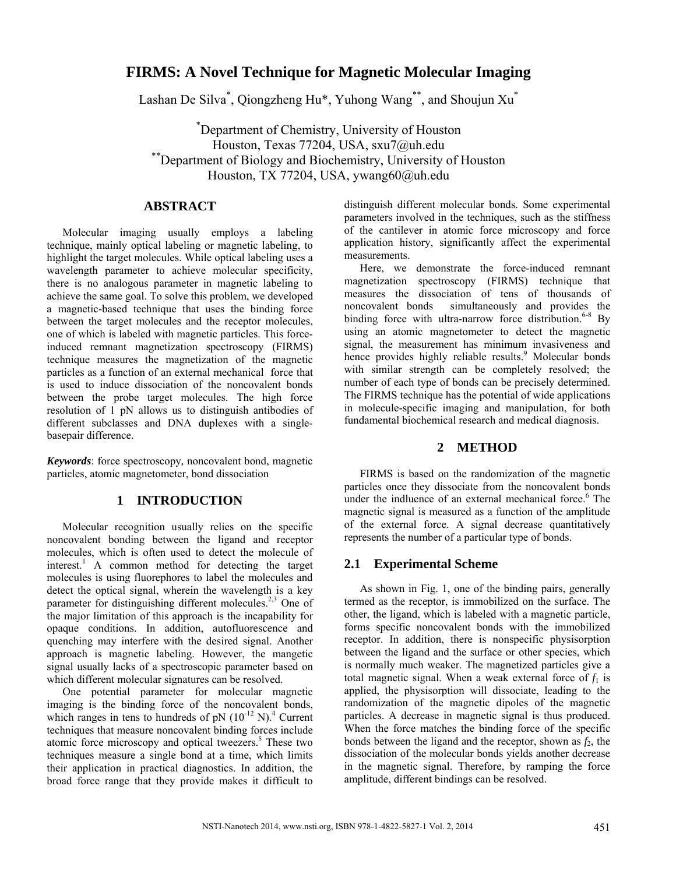# **FIRMS: A Novel Technique for Magnetic Molecular Imaging**

Lashan De Silva<sup>\*</sup>, Qiongzheng Hu<sup>\*</sup>, Yuhong Wang<sup>\*\*</sup>, and Shoujun Xu<sup>\*</sup>

\* Department of Chemistry, University of Houston Houston, Texas 77204, USA, sxu7@uh.edu \*\*Department of Biology and Biochemistry, University of Houston Houston, TX 77204, USA, ywang60@uh.edu

## **ABSTRACT**

Molecular imaging usually employs a labeling technique, mainly optical labeling or magnetic labeling, to highlight the target molecules. While optical labeling uses a wavelength parameter to achieve molecular specificity, there is no analogous parameter in magnetic labeling to achieve the same goal. To solve this problem, we developed a magnetic-based technique that uses the binding force between the target molecules and the receptor molecules, one of which is labeled with magnetic particles. This forceinduced remnant magnetization spectroscopy (FIRMS) technique measures the magnetization of the magnetic particles as a function of an external mechanical force that is used to induce dissociation of the noncovalent bonds between the probe target molecules. The high force resolution of 1 pN allows us to distinguish antibodies of different subclasses and DNA duplexes with a singlebasepair difference.

*Keywords*: force spectroscopy, noncovalent bond, magnetic particles, atomic magnetometer, bond dissociation

### **1 INTRODUCTION**

Molecular recognition usually relies on the specific noncovalent bonding between the ligand and receptor molecules, which is often used to detect the molecule of interest.<sup>1</sup> A common method for detecting the target molecules is using fluorephores to label the molecules and detect the optical signal, wherein the wavelength is a key parameter for distinguishing different molecules.<sup>2,3</sup> One of the major limitation of this approach is the incapability for opaque conditions. In addition, autofluorescence and quenching may interfere with the desired signal. Another approach is magnetic labeling. However, the mangetic signal usually lacks of a spectroscopic parameter based on which different molecular signatures can be resolved.

One potential parameter for molecular magnetic imaging is the binding force of the noncovalent bonds, which ranges in tens to hundreds of pN  $(10^{-12} N)^4$  Current techniques that measure noncovalent binding forces include atomic force microscopy and optical tweezers.<sup>5</sup> These two techniques measure a single bond at a time, which limits their application in practical diagnostics. In addition, the broad force range that they provide makes it difficult to

distinguish different molecular bonds. Some experimental parameters involved in the techniques, such as the stiffness of the cantilever in atomic force microscopy and force application history, significantly affect the experimental measurements.

Here, we demonstrate the force-induced remnant magnetization spectroscopy (FIRMS) technique that measures the dissociation of tens of thousands of noncovalent bonds simultaneously and provides the binding force with ultra-narrow force distribution.<sup>6-8</sup> By using an atomic magnetometer to detect the magnetic signal, the measurement has minimum invasiveness and hence provides highly reliable results.<sup>9</sup> Molecular bonds with similar strength can be completely resolved; the number of each type of bonds can be precisely determined. The FIRMS technique has the potential of wide applications in molecule-specific imaging and manipulation, for both fundamental biochemical research and medical diagnosis.

#### **2 METHOD**

FIRMS is based on the randomization of the magnetic particles once they dissociate from the noncovalent bonds under the indluence of an external mechanical force. $6$  The magnetic signal is measured as a function of the amplitude of the external force. A signal decrease quantitatively represents the number of a particular type of bonds.

### **2.1 Experimental Scheme**

As shown in Fig. 1, one of the binding pairs, generally termed as the receptor, is immobilized on the surface. The other, the ligand, which is labeled with a magnetic particle, forms specific noncovalent bonds with the immobilized receptor. In addition, there is nonspecific physisorption between the ligand and the surface or other species, which is normally much weaker. The magnetized particles give a total magnetic signal. When a weak external force of  $f_1$  is applied, the physisorption will dissociate, leading to the randomization of the magnetic dipoles of the magnetic particles. A decrease in magnetic signal is thus produced. When the force matches the binding force of the specific bonds between the ligand and the receptor, shown as  $f_2$ , the dissociation of the molecular bonds yields another decrease in the magnetic signal. Therefore, by ramping the force amplitude, different bindings can be resolved.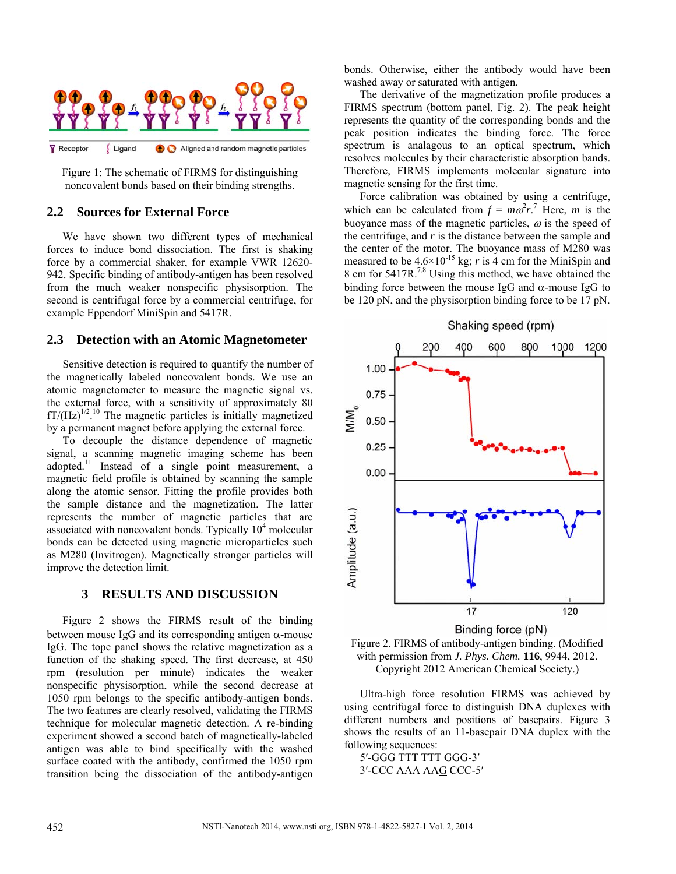

Figure 1: The schematic of FIRMS for distinguishing noncovalent bonds based on their binding strengths.

## **2.2 Sources for External Force**

We have shown two different types of mechanical forces to induce bond dissociation. The first is shaking force by a commercial shaker, for example VWR 12620- 942. Specific binding of antibody-antigen has been resolved from the much weaker nonspecific physisorption. The second is centrifugal force by a commercial centrifuge, for example Eppendorf MiniSpin and 5417R.

#### **2.3 Detection with an Atomic Magnetometer**

Sensitive detection is required to quantify the number of the magnetically labeled noncovalent bonds. We use an atomic magnetometer to measure the magnetic signal vs. the external force, with a sensitivity of approximately 80  $fT/(Hz)^{1/2}$ .<sup>10</sup> The magnetic particles is initially magnetized by a permanent magnet before applying the external force.

To decouple the distance dependence of magnetic signal, a scanning magnetic imaging scheme has been adopted.<sup>11</sup> Instead of a single point measurement, a magnetic field profile is obtained by scanning the sample along the atomic sensor. Fitting the profile provides both the sample distance and the magnetization. The latter represents the number of magnetic particles that are associated with noncovalent bonds. Typically  $10<sup>4</sup>$  molecular bonds can be detected using magnetic microparticles such as M280 (Invitrogen). Magnetically stronger particles will improve the detection limit.

### **3 RESULTS AND DISCUSSION**

Figure 2 shows the FIRMS result of the binding between mouse IgG and its corresponding antigen  $\alpha$ -mouse IgG. The tope panel shows the relative magnetization as a function of the shaking speed. The first decrease, at 450 rpm (resolution per minute) indicates the weaker nonspecific physisorption, while the second decrease at 1050 rpm belongs to the specific antibody-antigen bonds. The two features are clearly resolved, validating the FIRMS technique for molecular magnetic detection. A re-binding experiment showed a second batch of magnetically-labeled antigen was able to bind specifically with the washed surface coated with the antibody, confirmed the 1050 rpm transition being the dissociation of the antibody-antigen

bonds. Otherwise, either the antibody would have been washed away or saturated with antigen.

The derivative of the magnetization profile produces a FIRMS spectrum (bottom panel, Fig. 2). The peak height represents the quantity of the corresponding bonds and the peak position indicates the binding force. The force spectrum is analagous to an optical spectrum, which resolves molecules by their characteristic absorption bands. Therefore, FIRMS implements molecular signature into magnetic sensing for the first time.

Force calibration was obtained by using a centrifuge, which can be calculated from  $f = m\omega^2 r^7$ . Here, *m* is the buoyance mass of the magnetic particles,  $\omega$  is the speed of the centrifuge, and *r* is the distance between the sample and the center of the motor. The buoyance mass of M280 was measured to be  $4.6 \times 10^{-15}$  kg; *r* is 4 cm for the MiniSpin and 8 cm for 5417R.<sup>7,8</sup> Using this method, we have obtained the binding force between the mouse IgG and  $\alpha$ -mouse IgG to be 120 pN, and the physisorption binding force to be 17 pN.



Figure 2. FIRMS of antibody-antigen binding. (Modified with permission from *J. Phys. Chem.* **116**, 9944, 2012. Copyright 2012 American Chemical Society.)

Ultra-high force resolution FIRMS was achieved by using centrifugal force to distinguish DNA duplexes with different numbers and positions of basepairs. Figure 3 shows the results of an 11-basepair DNA duplex with the following sequences:

5′-GGG TTT TTT GGG-3′ 3′-CCC AAA AAG CCC-5′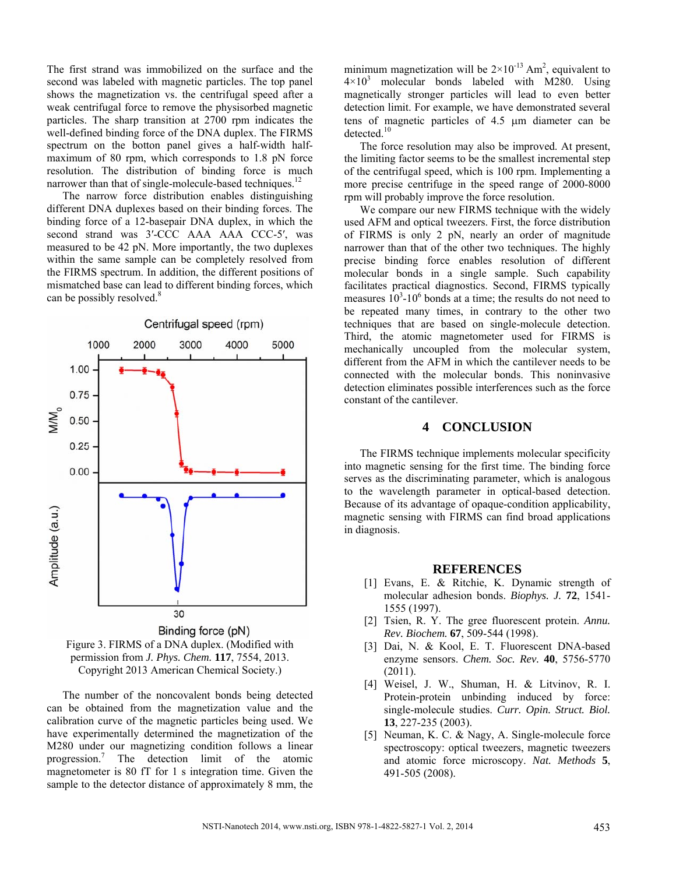The first strand was immobilized on the surface and the second was labeled with magnetic particles. The top panel shows the magnetization vs. the centrifugal speed after a weak centrifugal force to remove the physisorbed magnetic particles. The sharp transition at 2700 rpm indicates the well-defined binding force of the DNA duplex. The FIRMS spectrum on the botton panel gives a half-width halfmaximum of 80 rpm, which corresponds to 1.8 pN force resolution. The distribution of binding force is much narrower than that of single-molecule-based techniques.<sup>12</sup>

The narrow force distribution enables distinguishing different DNA duplexes based on their binding forces. The binding force of a 12-basepair DNA duplex, in which the second strand was 3'-CCC AAA AAA CCC-5', was measured to be 42 pN. More importantly, the two duplexes within the same sample can be completely resolved from the FIRMS spectrum. In addition, the different positions of mismatched base can lead to different binding forces, which can be possibly resolved.<sup>8</sup>





The number of the noncovalent bonds being detected can be obtained from the magnetization value and the calibration curve of the magnetic particles being used. We have experimentally determined the magnetization of the M280 under our magnetizing condition follows a linear progression.<sup>7</sup> The detection limit of the atomic magnetometer is 80 fT for 1 s integration time. Given the sample to the detector distance of approximately 8 mm, the

minimum magnetization will be  $2 \times 10^{-13}$  Am<sup>2</sup>, equivalent to  $4 \times 10^3$  molecular bonds labeled with M280. Using magnetically stronger particles will lead to even better detection limit. For example, we have demonstrated several tens of magnetic particles of 4.5 m diameter can be detected.<sup>10</sup>

The force resolution may also be improved. At present, the limiting factor seems to be the smallest incremental step of the centrifugal speed, which is 100 rpm. Implementing a more precise centrifuge in the speed range of 2000-8000 rpm will probably improve the force resolution.

We compare our new FIRMS technique with the widely used AFM and optical tweezers. First, the force distribution of FIRMS is only 2 pN, nearly an order of magnitude narrower than that of the other two techniques. The highly precise binding force enables resolution of different molecular bonds in a single sample. Such capability facilitates practical diagnostics. Second, FIRMS typically measures  $10^3$ -10<sup>6</sup> bonds at a time; the results do not need to be repeated many times, in contrary to the other two techniques that are based on single-molecule detection. Third, the atomic magnetometer used for FIRMS is mechanically uncoupled from the molecular system, different from the AFM in which the cantilever needs to be connected with the molecular bonds. This noninvasive detection eliminates possible interferences such as the force constant of the cantilever.

## **4 CONCLUSION**

The FIRMS technique implements molecular specificity into magnetic sensing for the first time. The binding force serves as the discriminating parameter, which is analogous to the wavelength parameter in optical-based detection. Because of its advantage of opaque-condition applicability, magnetic sensing with FIRMS can find broad applications in diagnosis.

#### **REFERENCES**

- [1] Evans, E. & Ritchie, K. Dynamic strength of molecular adhesion bonds. *Biophys. J.* **72**, 1541- 1555 (1997).
- [2] Tsien, R. Y. The gree fluorescent protein. *Annu. Rev. Biochem.* **67**, 509-544 (1998).
- [3] Dai, N. & Kool, E. T. Fluorescent DNA-based enzyme sensors. *Chem. Soc. Rev.* **40**, 5756-5770 (2011).
- [4] Weisel, J. W., Shuman, H. & Litvinov, R. I. Protein-protein unbinding induced by force: single-molecule studies. *Curr. Opin. Struct. Biol.* **13**, 227-235 (2003).
- [5] Neuman, K. C. & Nagy, A. Single-molecule force spectroscopy: optical tweezers, magnetic tweezers and atomic force microscopy. *Nat. Methods* **5**, 491-505 (2008).